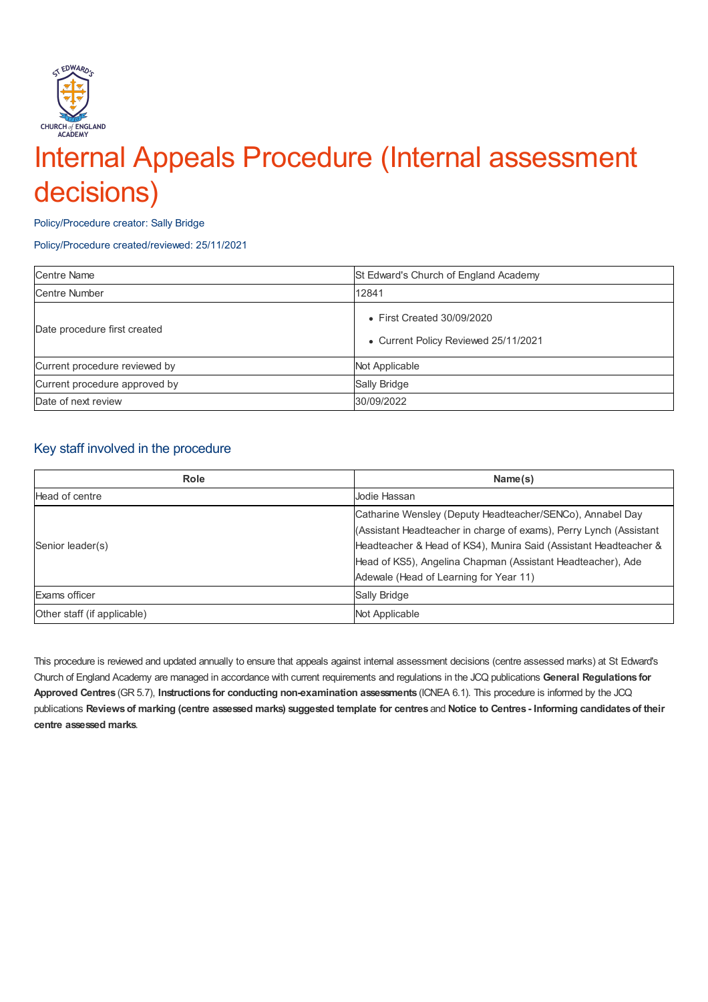

# Internal Appeals Procedure (Internal assessment decisions)

Policy/Procedure creator: Sally Bridge

Policy/Procedure created/reviewed: 25/11/2021

| <b>Centre Name</b>            | St Edward's Church of England Academy                              |
|-------------------------------|--------------------------------------------------------------------|
| <b>Centre Number</b>          | 12841                                                              |
| Date procedure first created  | • First Created 30/09/2020<br>• Current Policy Reviewed 25/11/2021 |
| Current procedure reviewed by | Not Applicable                                                     |
| Current procedure approved by | Sally Bridge                                                       |
| Date of next review           | 30/09/2022                                                         |

### Key staff involved in the procedure

| Role                        | Name(s)                                                            |
|-----------------------------|--------------------------------------------------------------------|
| Head of centre              | Jodie Hassan                                                       |
| Senior leader(s)            | Catharine Wensley (Deputy Headteacher/SENCo), Annabel Day          |
|                             | (Assistant Headteacher in charge of exams), Perry Lynch (Assistant |
|                             | Headteacher & Head of KS4), Munira Said (Assistant Headteacher &   |
|                             | Head of KS5), Angelina Chapman (Assistant Headteacher), Ade        |
|                             | Adewale (Head of Learning for Year 11)                             |
| Exams officer               | Sally Bridge                                                       |
| Other staff (if applicable) | Not Applicable                                                     |

This procedure is reviewed and updated annually to ensure that appeals against internal assessment decisions (centre assessed marks) at St Edward's Church of England Academy are managed in accordance with current requirements and regulations in the JCQ publications **General Regulations for Approved Centres** (GR 5.7), **Instructions for conducting non-examination assessments** (ICNEA 6.1). This procedure is informed by the JCQ publications Reviews of marking (centre assessed marks) suggested template for centres and Notice to Centres - Informing candidates of their **centre assessed marks**.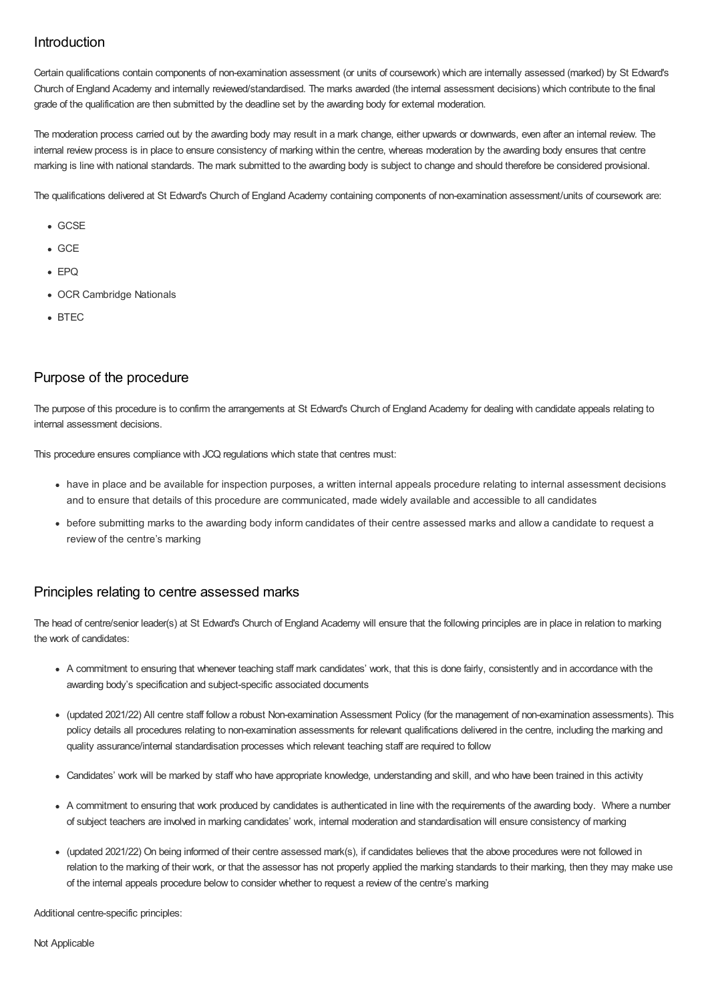# Introduction

Certain qualifications contain components of non-examination assessment (or units of coursework) which are internally assessed (marked) by St Edward's Church of England Academy and internally reviewed/standardised. The marks awarded (the internal assessment decisions) which contribute to the final grade of the qualification are then submitted by the deadline set by the awarding body for external moderation.

The moderation process carried out by the awarding body may result in a mark change, either upwards or downwards, even after an internal review. The internal review process is in place to ensure consistency of marking within the centre, whereas moderation by the awarding body ensures that centre marking is line with national standards. The mark submitted to the awarding body is subject to change and should therefore be considered provisional.

The qualifications delivered at St Edward's Church of England Academy containing components of non-examination assessment/units of coursework are:

- GCSE
- $GCF$
- $EPPQ$
- OCR Cambridge Nationals
- $B$ FTEC

# Purpose of the procedure

The purpose of this procedure is to confirm the arrangements at St Edward's Church of England Academy for dealing with candidate appeals relating to internal assessment decisions.

This procedure ensures compliance with JCQ regulations which state that centres must:

- have in place and be available for inspection purposes, a written internal appeals procedure relating to internal assessment decisions and to ensure that details of this procedure are communicated, made widely available and accessible to all candidates
- before submitting marks to the awarding body inform candidates of their centre assessed marks and allow a candidate to request a review of the centre's marking

#### Principles relating to centre assessed marks

The head of centre/senior leader(s) at St Edward's Church of England Academy will ensure that the following principles are in place in relation to marking the work of candidates:

- A commitment to ensuring that whenever teaching staff mark candidates' work, that this is done fairly, consistently and in accordance with the awarding body's specification and subject-specific associated documents
- (updated 2021/22) All centre staff follow a robust Non-examination Assessment Policy (for the management of non-examination assessments). This policy details all procedures relating to non-examination assessments for relevant qualifications delivered in the centre, including the marking and quality assurance/internal standardisation processes which relevant teaching staff are required to follow
- Candidates' work will be marked by staff who have appropriate knowledge, understanding and skill, and who have been trained in this activity
- A commitment to ensuring that work produced by candidates is authenticated in line with the requirements of the awarding body. Where a number of subject teachers are involved in marking candidates' work, internal moderation and standardisation will ensure consistency of marking
- (updated 2021/22) On being informed of their centre assessed mark(s), if candidates believes that the above procedures were not followed in relation to the marking of their work, or that the assessor has not properly applied the marking standards to their marking, then they may make use of the internal appeals procedure below to consider whether to request a review of the centre's marking

Additional centre-specific principles: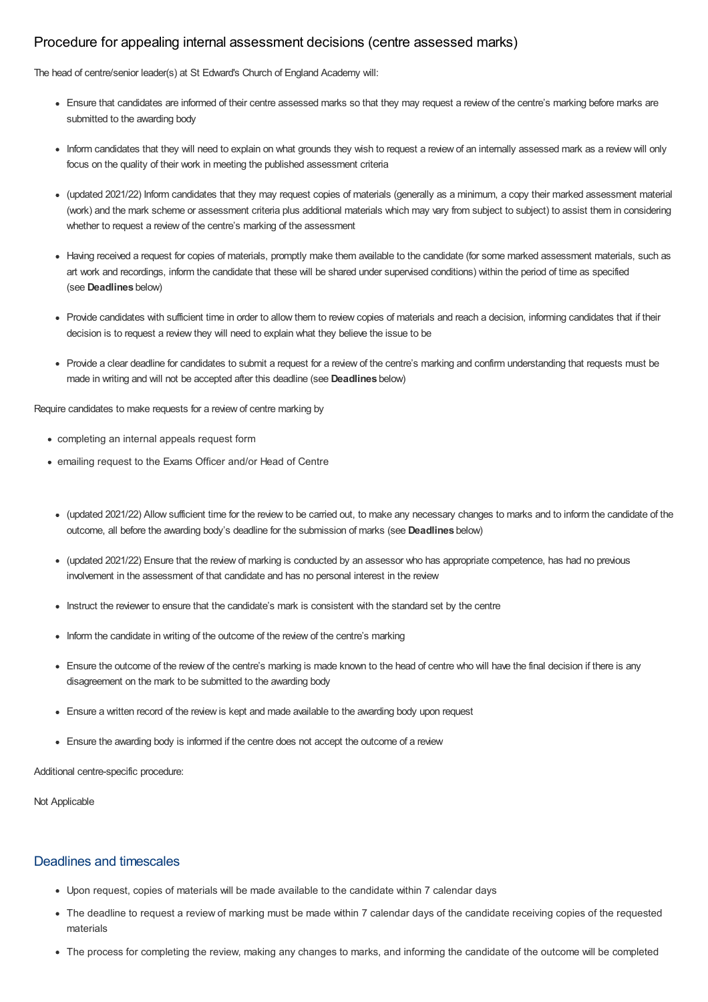## Procedure for appealing internal assessment decisions (centre assessed marks)

The head of centre/senior leader(s) at St Edward's Church of England Academy will:

- Ensure that candidates are informed of their centre assessed marks so that they may request a review of the centre's marking before marks are submitted to the awarding body
- Inform candidates that they will need to explain on what grounds they wish to request a review of an internally assessed mark as a review will only focus on the quality of their work in meeting the published assessment criteria
- (updated 2021/22) Inform candidates that they may request copies of materials (generally as a minimum, a copy their marked assessment material (work) and the mark scheme or assessment criteria plus additional materials which may vary from subject to subject) to assist them in considering whether to request a review of the centre's marking of the assessment
- Having received a request for copies of materials, promptly make them available to the candidate (for some marked assessment materials, such as art work and recordings, inform the candidate that these will be shared under supervised conditions) within the period of time as specified (see **Deadlines** below)
- Provide candidates with sufficient time in order to allow them to review copies of materials and reach a decision, informing candidates that if their decision is to request a review they will need to explain what they believe the issue to be
- Provide a clear deadline for candidates to submit a request for a review of the centre's marking and confirm understanding that requests must be made in writing and will not be accepted after this deadline (see **Deadlines** below)

Require candidates to make requests for a review of centre marking by

- completing an internal appeals request form
- emailing request to the Exams Officer and/or Head of Centre
	- (updated 2021/22) Allow sufficient time for the review to be carried out, to make any necessary changes to marks and to inform the candidate of the outcome, all before the awarding body's deadline for the submission of marks (see **Deadlines** below)
	- (updated 2021/22) Ensure that the review of marking is conducted by an assessor who has appropriate competence, has had no previous involvement in the assessment of that candidate and has no personal interest in the review
	- Instruct the reviewer to ensure that the candidate's mark is consistent with the standard set by the centre
	- Inform the candidate in writing of the outcome of the review of the centre's marking
	- Ensure the outcome of the review of the centre's marking is made known to the head of centre who will have the final decision if there is any disagreement on the mark to be submitted to the awarding body
	- Ensure a written record of the review is kept and made available to the awarding body upon request
	- Ensure the awarding body is informed if the centre does not accept the outcome of a review

Additional centre-specific procedure:

Not Applicable

#### Deadlines and timescales

- Upon request, copies of materials will be made available to the candidate within 7 calendar days
- The deadline to request a review of marking must be made within 7 calendar days of the candidate receiving copies of the requested materials
- The process for completing the review, making any changes to marks, and informing the candidate of the outcome will be completed